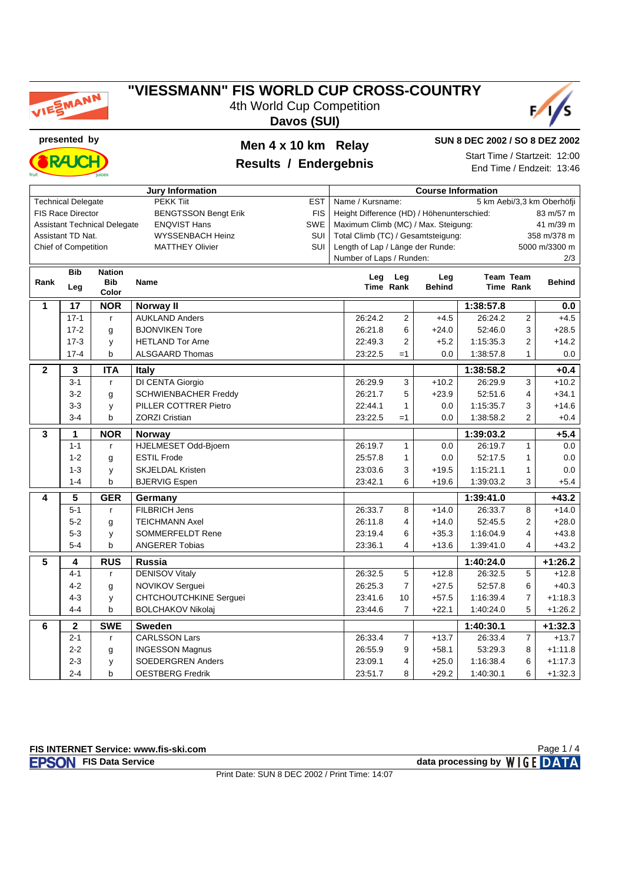

4th World Cup Competition





**presented by Men 4 x 10 km Relay**



## **Results / Endergebnis**

**SUN 8 DEC 2002 / SO 8 DEZ 2002**

Start Time / Startzeit: 12:00 End Time / Endzeit: 13:46

| <b>Jury Information</b> |                                                             |                                     |                                                    | <b>Course Information</b> |                                                         |                                                |         |                      |                  |                      |  |  |
|-------------------------|-------------------------------------------------------------|-------------------------------------|----------------------------------------------------|---------------------------|---------------------------------------------------------|------------------------------------------------|---------|----------------------|------------------|----------------------|--|--|
|                         | <b>Technical Delegate</b><br><b>PEKK Tiit</b><br><b>EST</b> |                                     |                                                    |                           |                                                         | Name / Kursname:<br>5 km Aebi/3,3 km Oberhöfji |         |                      |                  |                      |  |  |
|                         | <b>FIS Race Director</b>                                    |                                     | <b>BENGTSSON Bengt Erik</b>                        | <b>FIS</b>                | Height Difference (HD) / Höhenunterschied:<br>83 m/57 m |                                                |         |                      |                  |                      |  |  |
|                         |                                                             | <b>Assistant Technical Delegate</b> | <b>ENQVIST Hans</b>                                | SWE                       | Maximum Climb (MC) / Max. Steigung:<br>41 m/39 m        |                                                |         |                      |                  |                      |  |  |
|                         | Assistant TD Nat.                                           |                                     | <b>WYSSENBACH Heinz</b>                            | SUI                       | Total Climb (TC) / Gesamtsteigung:<br>358 m/378 m       |                                                |         |                      |                  |                      |  |  |
|                         | <b>Chief of Competition</b>                                 |                                     | <b>MATTHEY Olivier</b>                             | SUI                       | Length of Lap / Länge der Runde:                        |                                                |         |                      |                  | 5000 m/3300 m        |  |  |
|                         |                                                             |                                     |                                                    |                           | Number of Laps / Runden:                                |                                                |         |                      |                  | 2/3                  |  |  |
|                         | <b>Bib</b>                                                  | <b>Nation</b>                       |                                                    |                           |                                                         | Leg Leg                                        | Leg     |                      | <b>Team Team</b> |                      |  |  |
| Rank                    | Leg                                                         | <b>Bib</b><br>Color                 | <b>Name</b>                                        |                           | Time Rank                                               | <b>Behind</b>                                  |         | Time Rank            | <b>Behind</b>    |                      |  |  |
|                         |                                                             |                                     |                                                    |                           |                                                         |                                                |         |                      |                  |                      |  |  |
| 1                       | 17                                                          | <b>NOR</b>                          | Norway II                                          |                           |                                                         |                                                |         | 1:38:57.8<br>26:24.2 |                  | 0.0                  |  |  |
|                         | $17 - 1$                                                    | $\mathsf{r}$                        | <b>AUKLAND Anders</b>                              |                           | 26:24.2                                                 | $\overline{2}$                                 | $+4.5$  |                      | $\overline{2}$   | $+4.5$               |  |  |
|                         | $17 - 2$                                                    | g                                   | <b>BJONVIKEN Tore</b>                              |                           | 26:21.8                                                 | 6                                              | $+24.0$ | 52:46.0              | 3                | $+28.5$              |  |  |
|                         | $17-3$                                                      | y                                   | <b>HETLAND Tor Arne</b>                            |                           | 22:49.3                                                 | 2                                              | $+5.2$  | 1:15:35.3            | 2                | $+14.2$              |  |  |
|                         | $\mathbf b$<br>$17 - 4$<br><b>ALSGAARD Thomas</b>           |                                     |                                                    |                           | 23:22.5                                                 | $=1$                                           | 0.0     | 1:38:57.8            | 1                | 0.0                  |  |  |
| $\mathbf{2}$            |                                                             | 3<br><b>ITA</b><br><b>Italy</b>     |                                                    |                           |                                                         |                                                |         | 1:38:58.2            |                  | $+0.4$               |  |  |
|                         | $3 - 1$                                                     | $\mathsf{r}$                        | DI CENTA Giorgio                                   |                           | 26:29.9                                                 | 3                                              | $+10.2$ | 26:29.9              | 3                | $+10.2$              |  |  |
|                         | $3 - 2$                                                     | g                                   | SCHWIENBACHER Freddy                               |                           | 26:21.7                                                 | 5                                              | $+23.9$ | 52:51.6              | 4                | $+34.1$              |  |  |
|                         | $3 - 3$                                                     | у                                   | PILLER COTTRER Pietro                              |                           | 22:44.1                                                 | $\mathbf{1}$                                   | 0.0     | 1:15:35.7            | 3                | $+14.6$              |  |  |
|                         | $3 - 4$                                                     | b                                   | <b>ZORZI Cristian</b>                              |                           | 23:22.5                                                 | $=1$                                           | 0.0     | 1:38:58.2            | 2                | $+0.4$               |  |  |
| 3                       | 1                                                           | <b>NOR</b>                          | <b>Norway</b>                                      |                           |                                                         |                                                |         | 1:39:03.2            |                  | $+5.4$               |  |  |
|                         | $1 - 1$                                                     | $\mathsf{r}$                        | HJELMESET Odd-Bjoern                               |                           | 26:19.7                                                 | $\mathbf{1}$                                   | 0.0     | 26:19.7              | $\mathbf{1}$     | 0.0                  |  |  |
|                         | $1 - 2$                                                     | g                                   | <b>ESTIL Frode</b>                                 |                           | 25:57.8                                                 | $\mathbf{1}$                                   | 0.0     | 52:17.5              | 1                | 0.0                  |  |  |
|                         | $1 - 3$                                                     | y                                   | <b>SKJELDAL Kristen</b>                            |                           | 23:03.6                                                 | 3                                              | $+19.5$ | 1:15:21.1            | 1                | 0.0                  |  |  |
|                         | $1 - 4$                                                     | b                                   | <b>BJERVIG Espen</b>                               |                           | 23:42.1                                                 | 6                                              | $+19.6$ | 1:39:03.2            | 3                | $+5.4$               |  |  |
| 4                       | 5                                                           | <b>GER</b>                          | Germany                                            |                           |                                                         |                                                |         | 1:39:41.0            |                  | $+43.2$              |  |  |
|                         | $5-1$                                                       | $\mathsf{r}$                        | <b>FILBRICH Jens</b>                               |                           | 26:33.7                                                 | 8                                              | $+14.0$ | 26:33.7              | 8                | $+14.0$              |  |  |
|                         | $5 - 2$                                                     | g                                   | <b>TEICHMANN Axel</b>                              |                           | 26:11.8                                                 | 4                                              | $+14.0$ | 52:45.5              | $\overline{2}$   | $+28.0$              |  |  |
|                         | $5 - 3$                                                     | у                                   | SOMMERFELDT Rene                                   |                           | 23:19.4                                                 | 6                                              | $+35.3$ | 1:16:04.9            | 4                | $+43.8$              |  |  |
|                         | $5-4$                                                       | b                                   | <b>ANGERER Tobias</b>                              |                           | 23:36.1                                                 | 4                                              | $+13.6$ | 1:39:41.0            | 4                | $+43.2$              |  |  |
| 5                       | 4                                                           | <b>RUS</b>                          | <b>Russia</b>                                      |                           |                                                         |                                                |         | 1:40:24.0            |                  | $+1:26.2$            |  |  |
|                         | $4 - 1$                                                     | $\mathsf{r}$                        | <b>DENISOV Vitaly</b>                              |                           | 26:32.5                                                 | 5                                              | $+12.8$ | 26:32.5              | 5                | $+12.8$              |  |  |
|                         | $4 - 2$                                                     | g                                   | NOVIKOV Serguei                                    |                           | 26:25.3                                                 | $\overline{7}$                                 | $+27.5$ | 52:57.8              | 6                | $+40.3$              |  |  |
|                         | $4 - 3$                                                     | y                                   | <b>CHTCHOUTCHKINE Serguei</b>                      |                           | 23:41.6                                                 | 10                                             | $+57.5$ | 1:16:39.4            | $\overline{7}$   | $+1:18.3$            |  |  |
|                         | $4 - 4$                                                     | b                                   | <b>BOLCHAKOV Nikolaj</b>                           |                           | 23:44.6                                                 | $\overline{7}$                                 | $+22.1$ | 1:40:24.0            | 5                | $+1:26.2$            |  |  |
|                         |                                                             |                                     |                                                    |                           |                                                         |                                                |         |                      |                  |                      |  |  |
| 6                       | $\mathbf{2}$<br>$2 - 1$                                     | <b>SWE</b>                          | <b>Sweden</b><br><b>CARLSSON Lars</b>              |                           | 26:33.4                                                 | $\overline{7}$                                 | $+13.7$ | 1:40:30.1<br>26:33.4 | $\overline{7}$   | $+1:32.3$<br>$+13.7$ |  |  |
|                         |                                                             | $\mathsf{r}$                        |                                                    |                           | 26:55.9                                                 | 9                                              | $+58.1$ | 53:29.3              | 8                | $+1:11.8$            |  |  |
|                         | $2 - 2$<br>$2 - 3$                                          | g                                   | <b>INGESSON Magnus</b><br><b>SOEDERGREN Anders</b> |                           | 23:09.1                                                 | 4                                              | $+25.0$ | 1:16:38.4            | 6                | $+1:17.3$            |  |  |
|                         | $2 - 4$                                                     | y<br>b                              |                                                    |                           | 23:51.7                                                 | 8                                              | $+29.2$ |                      | 6                |                      |  |  |
|                         |                                                             |                                     | <b>OESTBERG Fredrik</b>                            |                           |                                                         |                                                |         | 1:40:30.1            |                  | $+1.32.3$            |  |  |

### **FIS INTERNET Service: www.fis-ski.com**

**FIS Data Service data processing by**  $W \mid G E$  **DATA** Page 1 / 4

Print Date: SUN 8 DEC 2002 / Print Time: 14:07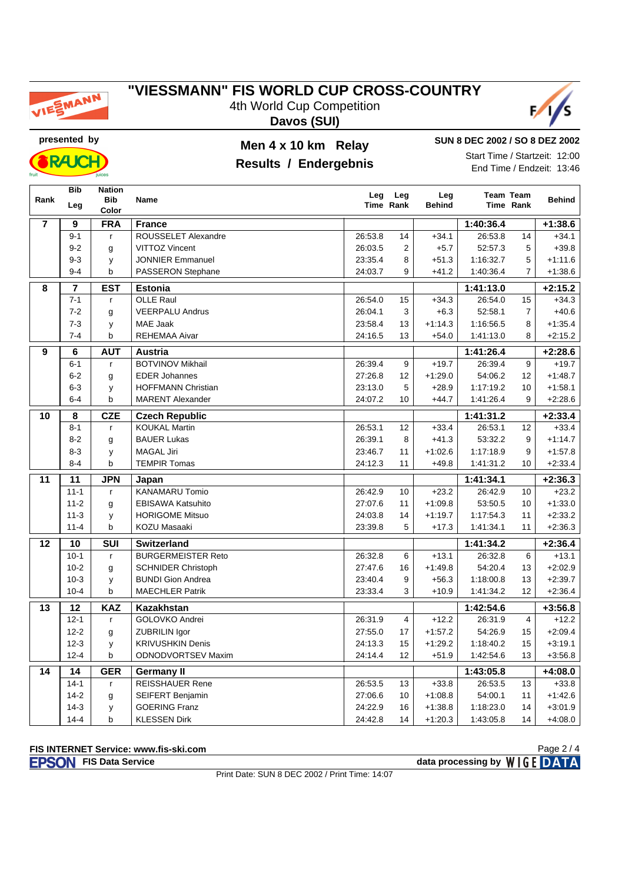

4th World Cup Competition **Davos (SUI)**



**RAJC** 

### **presented by Men 4 x 10 km Relay**

### **Results / Endergebnis**

**SUN 8 DEC 2002 / SO 8 DEZ 2002** Start Time / Startzeit: 12:00 End Time / Endzeit: 13:46

|                | <b>Bib</b> | <b>Nation</b>           |                           | Leg     |                  | Leg           |           | <b>Team Team</b> |               |
|----------------|------------|-------------------------|---------------------------|---------|------------------|---------------|-----------|------------------|---------------|
| Rank           | Leg        | <b>Bib</b><br>Color     | <b>Name</b>               |         | Leg<br>Time Rank | <b>Behind</b> |           | Time Rank        | <b>Behind</b> |
| $\overline{7}$ | 9          | <b>FRA</b>              | <b>France</b>             |         |                  |               | 1:40:36.4 |                  | $+1:38.6$     |
|                | $9 - 1$    | r                       | ROUSSELET Alexandre       | 26:53.8 | 14               | $+34.1$       | 26:53.8   | 14               | $+34.1$       |
|                | $9 - 2$    | g                       | <b>VITTOZ Vincent</b>     | 26:03.5 | $\overline{2}$   | $+5.7$        | 52:57.3   | 5                | $+39.8$       |
|                | $9 - 3$    | У                       | <b>JONNIER Emmanuel</b>   | 23:35.4 | 8                | $+51.3$       | 1:16:32.7 | 5                | $+1:11.6$     |
|                | $9 - 4$    | b                       | PASSERON Stephane         | 24:03.7 | 9                | $+41.2$       | 1:40:36.4 | $\overline{7}$   | $+1:38.6$     |
| 8              | 7          | <b>EST</b>              | <b>Estonia</b>            |         |                  |               | 1:41:13.0 |                  | $+2:15.2$     |
|                | $7 - 1$    | $\mathsf{r}$            | <b>OLLE Raul</b>          | 26:54.0 | 15               | $+34.3$       | 26:54.0   | 15               | $+34.3$       |
|                | $7 - 2$    | g                       | <b>VEERPALU Andrus</b>    | 26:04.1 | 3                | $+6.3$        | 52:58.1   | $\overline{7}$   | $+40.6$       |
|                | $7 - 3$    | y                       | <b>MAE Jaak</b>           | 23:58.4 | 13               | $+1:14.3$     | 1:16:56.5 | 8                | $+1:35.4$     |
|                | $7 - 4$    | b                       | <b>REHEMAA Aivar</b>      | 24:16.5 | 13               | $+54.0$       | 1:41:13.0 | 8                | $+2:15.2$     |
| 9              | 6          | <b>AUT</b>              | <b>Austria</b>            |         |                  |               | 1:41:26.4 |                  | $+2:28.6$     |
|                | $6 - 1$    | r                       | <b>BOTVINOV Mikhail</b>   | 26:39.4 | 9                | $+19.7$       | 26:39.4   | 9                | $+19.7$       |
|                | $6 - 2$    | g                       | <b>EDER Johannes</b>      | 27:26.8 | 12               | $+1:29.0$     | 54:06.2   | 12               | $+1:48.7$     |
|                | $6 - 3$    | y                       | <b>HOFFMANN Christian</b> | 23:13.0 | 5                | $+28.9$       | 1:17:19.2 | 10               | $+1:58.1$     |
|                | $6 - 4$    | b                       | <b>MARENT Alexander</b>   | 24:07.2 | 10               | $+44.7$       | 1:41:26.4 | 9                | $+2:28.6$     |
| 10             | 8          | CZE                     | <b>Czech Republic</b>     |         |                  |               | 1:41:31.2 |                  | $+2:33.4$     |
|                | $8 - 1$    | r                       | <b>KOUKAL Martin</b>      | 26:53.1 | 12               | $+33.4$       | 26:53.1   | 12               | $+33.4$       |
|                | $8 - 2$    | g                       | <b>BAUER Lukas</b>        | 26:39.1 | 8                | $+41.3$       | 53:32.2   | 9                | $+1:14.7$     |
|                | $8 - 3$    | y                       | <b>MAGAL Jiri</b>         | 23:46.7 | 11               | $+1:02.6$     | 1:17:18.9 | 9                | $+1.57.8$     |
|                | $8 - 4$    | b                       | <b>TEMPIR Tomas</b>       | 24:12.3 | 11               | $+49.8$       | 1:41:31.2 | 10               | $+2:33.4$     |
| 11             | 11         | <b>JPN</b>              | Japan                     |         |                  | 1:41:34.1     |           |                  | $+2:36.3$     |
|                | $11 - 1$   | r                       | <b>KANAMARU Tomio</b>     | 26:42.9 | 10               | $+23.2$       | 26:42.9   | 10               | $+23.2$       |
|                | $11 - 2$   | g                       | <b>EBISAWA Katsuhito</b>  | 27:07.6 | 11               | $+1:09.8$     | 53:50.5   | 10               | $+1:33.0$     |
|                | $11 - 3$   | y                       | <b>HORIGOME Mitsuo</b>    | 24:03.8 | 14               | $+1:19.7$     | 1:17:54.3 | 11               | $+2:33.2$     |
|                | $11 - 4$   | b                       | <b>KOZU Masaaki</b>       | 23:39.8 | 5                | $+17.3$       | 1:41:34.1 | 11               | $+2:36.3$     |
| 12             | 10         | $\overline{\text{SUI}}$ | <b>Switzerland</b>        |         | 1:41:34.2        |               |           | $+2:36.4$        |               |
|                | $10-1$     | $\mathsf{r}$            | <b>BURGERMEISTER Reto</b> | 26:32.8 | 6                | $+13.1$       | 26:32.8   | 6                | $+13.1$       |
|                | $10 - 2$   | g                       | <b>SCHNIDER Christoph</b> | 27:47.6 | 16               | $+1:49.8$     | 54:20.4   | 13               | $+2:02.9$     |
|                | $10-3$     | y                       | <b>BUNDI Gion Andrea</b>  | 23:40.4 | 9                | $+56.3$       | 1:18:00.8 | 13               | $+2:39.7$     |
|                | $10 - 4$   | $\mathsf b$             | <b>MAECHLER Patrik</b>    | 23:33.4 | 3                | $+10.9$       | 1:41:34.2 | 12               | $+2:36.4$     |
| 13             | 12         | <b>KAZ</b>              | Kazakhstan                |         |                  |               | 1:42:54.6 |                  | $+3:56.8$     |
|                | $12 - 1$   | r                       | GOLOVKO Andrei            | 26:31.9 | $\overline{4}$   | $+12.2$       | 26:31.9   | $\overline{4}$   | $+12.2$       |
|                | $12 - 2$   | g                       | ZUBRILIN Igor             | 27:55.0 | 17               | $+1:57.2$     | 54:26.9   | 15               | $+2:09.4$     |
|                | $12 - 3$   | y                       | <b>KRIVUSHKIN Denis</b>   | 24:13.3 | 15               | $+1:29.2$     | 1:18:40.2 | 15               | $+3:19.1$     |
|                | $12 - 4$   | $\mathbf b$             | ODNODVORTSEV Maxim        | 24:14.4 | 12               | $+51.9$       | 1:42:54.6 | 13               | $+3:56.8$     |
| 14             | 14         | <b>GER</b>              | <b>Germany II</b>         |         |                  |               | 1:43:05.8 |                  | $+4:08.0$     |
|                | $14 - 1$   | r                       | <b>REISSHAUER Rene</b>    | 26:53.5 | 13               | $+33.8$       | 26:53.5   | 13               | $+33.8$       |
|                | $14 - 2$   | g                       | SEIFERT Benjamin          | 27:06.6 | 10               | $+1:08.8$     | 54:00.1   | 11               | $+1:42.6$     |
|                | $14-3$     | У                       | <b>GOERING Franz</b>      | 24:22.9 | 16               | $+1:38.8$     | 1:18:23.0 | 14               | $+3:01.9$     |
|                | $14 - 4$   | b                       | <b>KLESSEN Dirk</b>       | 24:42.8 | 14               | $+1:20.3$     | 1:43:05.8 | 14               | $+4:08.0$     |

#### **FIS INTERNET Service: www.fis-ski.com**

**FIS Data Service data processing by**  $W \mid G E$  **DATA** 

Print Date: SUN 8 DEC 2002 / Print Time: 14:07

Page 2 / 4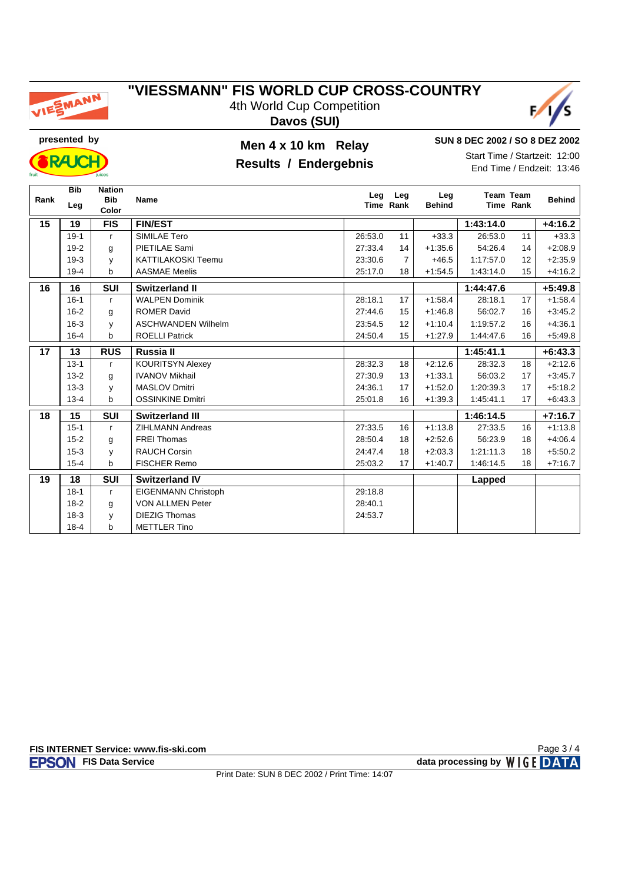

4th World Cup Competition **Davos (SUI)**



**RAJC** 

### **presented by Men 4 x 10 km Relay**

### **Results / Endergebnis**

**SUN 8 DEC 2002 / SO 8 DEZ 2002** Start Time / Startzeit: 12:00

End Time / Endzeit: 13:46

| Rank | <b>Bib</b><br>Leg | <b>Nation</b><br><b>Bib</b> | <b>Name</b>               | Leg     | Leg<br>Time Rank | Leg<br><b>Behind</b> |           | <b>Team Team</b><br>Time Rank | <b>Behind</b> |
|------|-------------------|-----------------------------|---------------------------|---------|------------------|----------------------|-----------|-------------------------------|---------------|
| 15   | 19                | Color<br><b>FIS</b>         | <b>FIN/EST</b>            |         |                  |                      | 1:43:14.0 |                               | $+4:16.2$     |
|      | $19-1$            |                             | SIMILAE Tero              | 26:53.0 | 11               | $+33.3$              | 26:53.0   | 11                            | $+33.3$       |
|      |                   | $\mathsf{r}$                |                           |         |                  |                      |           |                               |               |
|      | $19-2$            | g                           | PIETILAE Sami             | 27:33.4 | 14               | $+1:35.6$            | 54:26.4   | 14                            | $+2:08.9$     |
|      | $19-3$            | y                           | <b>KATTILAKOSKI Teemu</b> | 23:30.6 | $\overline{7}$   | $+46.5$              | 1:17:57.0 | 12                            | $+2:35.9$     |
|      | $19-4$            | b                           | <b>AASMAE Meelis</b>      | 25:17.0 | 18               | $+1:54.5$            | 1:43:14.0 | 15                            | $+4:16.2$     |
| 16   | 16                | <b>SUI</b>                  | <b>Switzerland II</b>     |         |                  |                      | 1:44:47.6 |                               | $+5:49.8$     |
|      | $16 - 1$          | $\mathsf{r}$                | <b>WALPEN Dominik</b>     | 28:18.1 | 17               | $+1:58.4$            | 28:18.1   | 17                            | $+1:58.4$     |
|      | $16 - 2$          | g                           | <b>ROMER David</b>        | 27:44.6 | 15               | $+1:46.8$            | 56:02.7   | 16                            | $+3:45.2$     |
|      | $16 - 3$          | y                           | <b>ASCHWANDEN Wilhelm</b> | 23:54.5 | 12               | $+1:10.4$            | 1:19:57.2 | 16                            | $+4:36.1$     |
|      | $16 - 4$          | b                           | <b>ROELLI Patrick</b>     | 24:50.4 | 15               | $+1:27.9$            | 1:44:47.6 | 16                            | $+5:49.8$     |
| 17   | 13                | <b>RUS</b><br>Russia II     |                           |         |                  |                      | 1:45:41.1 |                               | $+6:43.3$     |
|      | $13 - 1$          | r                           | <b>KOURITSYN Alexey</b>   | 28:32.3 | 18               | $+2:12.6$            | 28:32.3   | 18                            | $+2:12.6$     |
|      | $13-2$            | g                           | <b>IVANOV Mikhail</b>     | 27:30.9 | 13               | $+1.33.1$            | 56:03.2   | 17                            | $+3:45.7$     |
|      | $13-3$            | y                           | <b>MASLOV Dmitri</b>      | 24:36.1 | 17               | $+1:52.0$            | 1:20:39.3 | 17                            | $+5:18.2$     |
|      | $13 - 4$          | b                           | <b>OSSINKINE Dmitri</b>   | 25:01.8 | 16               | $+1:39.3$            | 1:45:41.1 | 17                            | $+6:43.3$     |
| 18   | 15                | <b>SUI</b>                  | Switzerland III           |         |                  |                      | 1:46:14.5 |                               | $+7:16.7$     |
|      | $15 - 1$          | $\mathsf{r}$                | <b>ZIHLMANN Andreas</b>   | 27:33.5 | 16               | $+1:13.8$            | 27:33.5   | 16                            | $+1:13.8$     |
|      | $15 - 2$          | g                           | <b>FREI Thomas</b>        | 28:50.4 | 18               | $+2:52.6$            | 56:23.9   | 18                            | $+4:06.4$     |
|      | $15 - 3$          | y                           | <b>RAUCH Corsin</b>       | 24:47.4 | 18               | $+2:03.3$            | 1:21:11.3 | 18                            | $+5:50.2$     |
|      | $15 - 4$          | b                           | <b>FISCHER Remo</b>       | 25:03.2 | 17               | $+1:40.7$            | 1:46:14.5 | 18                            | $+7:16.7$     |
| 19   | 18                | <b>SUI</b>                  | <b>Switzerland IV</b>     |         |                  |                      | Lapped    |                               |               |
|      | $18-1$            | $\mathsf{r}$                | EIGENMANN Christoph       | 29:18.8 |                  |                      |           |                               |               |
|      | $18-2$            | g                           | <b>VON ALLMEN Peter</b>   | 28:40.1 |                  |                      |           |                               |               |
|      | $18-3$            | y                           | <b>DIEZIG Thomas</b>      | 24:53.7 |                  |                      |           |                               |               |
|      | $18 - 4$          | b                           | <b>METTLER Tino</b>       |         |                  |                      |           |                               |               |

Page 3 / 4